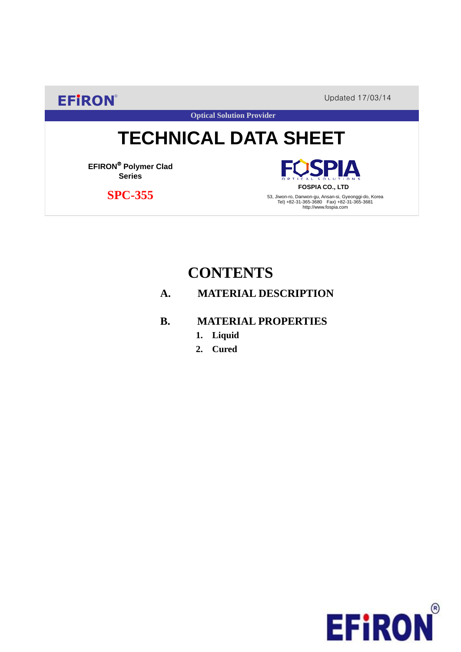**EFIRON®** Updated 17/03/14

**Optical Solution Provider**

# **TECHNICAL DATA SHEET**

**EFIRON**® **Polymer Clad Series**

 **SPC-355**

PIA **FOSPIA CO., LTD**

53, Jiwon-ro, Danwon-gu, Ansan-si, Gyeonggi-do, Korea Tel) +82-31-365-3680 Fax) +82-31-365-3681 http://www.fospia.com

# **CONTENTS**

### **A. MATERIAL DESCRIPTION**

- **B. MATERIAL PROPERTIES**
	- **1. Liquid**
	- **2. Cured**

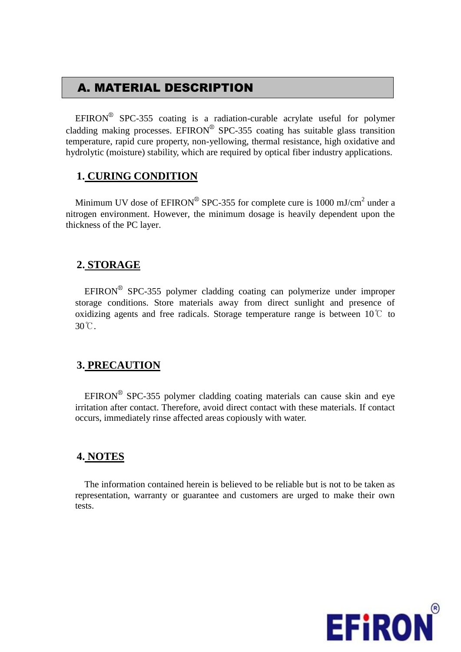# A. MATERIAL DESCRIPTION

EFIRON<sup>®</sup> SPC-355 coating is a radiation-curable acrylate useful for polymer cladding making processes. EFIRON<sup>®</sup> SPC-355 coating has suitable glass transition temperature, rapid cure property, non-yellowing, thermal resistance, high oxidative and hydrolytic (moisture) stability, which are required by optical fiber industry applications.

#### **1. CURING CONDITION**

Minimum UV dose of  $EPIRON^{\circledR}$  SPC-355 for complete cure is 1000 mJ/cm<sup>2</sup> under a nitrogen environment. However, the minimum dosage is heavily dependent upon the thickness of the PC layer.

#### **2. STORAGE**

 $EFINON^{\circledR}$  SPC-355 polymer cladding coating can polymerize under improper storage conditions. Store materials away from direct sunlight and presence of oxidizing agents and free radicals. Storage temperature range is between  $10^{\circ}$  to 30℃.

#### **3. PRECAUTION**

 $EFINON^{\circledR}$  SPC-355 polymer cladding coating materials can cause skin and eye irritation after contact. Therefore, avoid direct contact with these materials. If contact occurs, immediately rinse affected areas copiously with water.

#### **4. NOTES**

The information contained herein is believed to be reliable but is not to be taken as representation, warranty or guarantee and customers are urged to make their own tests.